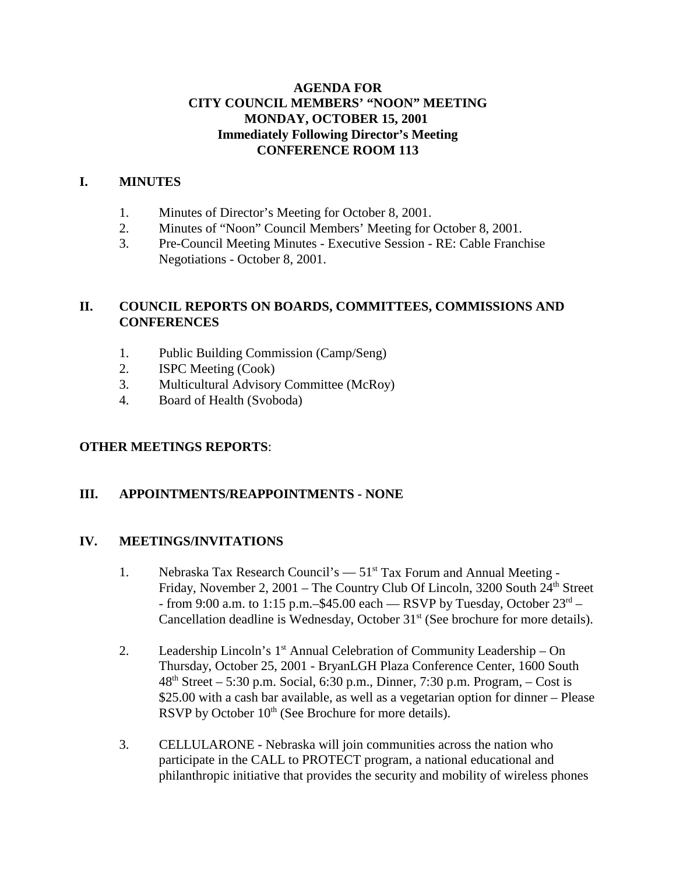#### **AGENDA FOR CITY COUNCIL MEMBERS' "NOON" MEETING MONDAY, OCTOBER 15, 2001 Immediately Following Director's Meeting CONFERENCE ROOM 113**

#### **I. MINUTES**

- 1. Minutes of Director's Meeting for October 8, 2001.
- 2. Minutes of "Noon" Council Members' Meeting for October 8, 2001.
- 3. Pre-Council Meeting Minutes Executive Session RE: Cable Franchise Negotiations - October 8, 2001.

### **II. COUNCIL REPORTS ON BOARDS, COMMITTEES, COMMISSIONS AND CONFERENCES**

- 1. Public Building Commission (Camp/Seng)
- 2. ISPC Meeting (Cook)
- 3. Multicultural Advisory Committee (McRoy)
- 4. Board of Health (Svoboda)

### **OTHER MEETINGS REPORTS**:

### **III. APPOINTMENTS/REAPPOINTMENTS - NONE**

#### **IV. MEETINGS/INVITATIONS**

- 1. Nebraska Tax Research Council's  $-51<sup>st</sup>$  Tax Forum and Annual Meeting -Friday, November 2, 2001 – The Country Club Of Lincoln, 3200 South  $24<sup>th</sup>$  Street - from 9:00 a.m. to 1:15 p.m.–\$45.00 each — RSVP by Tuesday, October  $23<sup>rd</sup>$  – Cancellation deadline is Wednesday, October 31<sup>st</sup> (See brochure for more details).
- 2. Leadership Lincoln's  $1<sup>st</sup>$  Annual Celebration of Community Leadership On Thursday, October 25, 2001 - BryanLGH Plaza Conference Center, 1600 South  $48<sup>th</sup> Street – 5:30 p.m. Social, 6:30 p.m., Dinner, 7:30 p.m. Program, – Cost is$ \$25.00 with a cash bar available, as well as a vegetarian option for dinner – Please RSVP by October  $10<sup>th</sup>$  (See Brochure for more details).
- 3. CELLULARONE Nebraska will join communities across the nation who participate in the CALL to PROTECT program, a national educational and philanthropic initiative that provides the security and mobility of wireless phones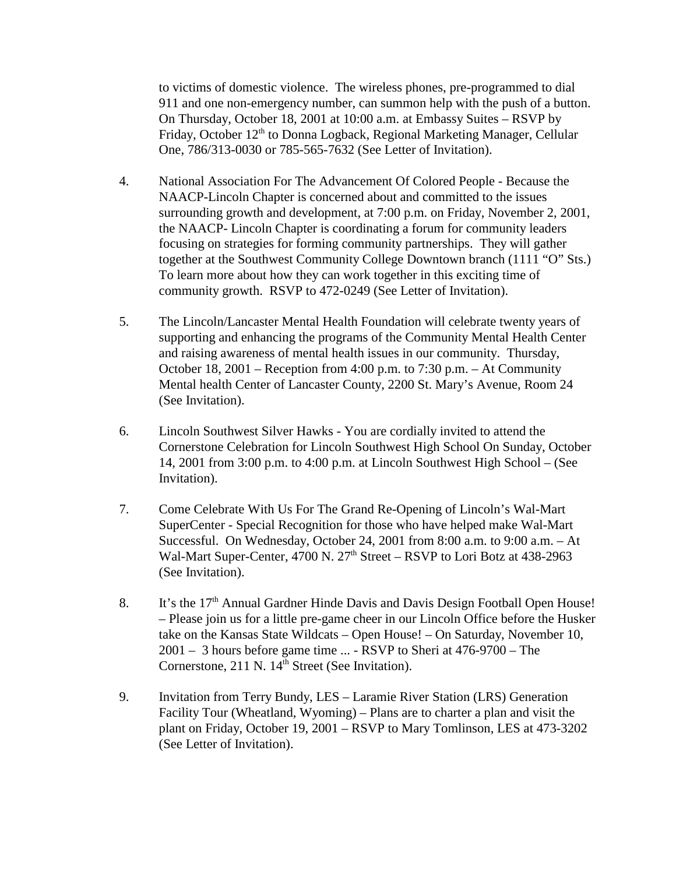to victims of domestic violence. The wireless phones, pre-programmed to dial 911 and one non-emergency number, can summon help with the push of a button. On Thursday, October 18, 2001 at 10:00 a.m. at Embassy Suites – RSVP by Friday, October 12<sup>th</sup> to Donna Logback, Regional Marketing Manager, Cellular One, 786/313-0030 or 785-565-7632 (See Letter of Invitation).

- 4. National Association For The Advancement Of Colored People Because the NAACP-Lincoln Chapter is concerned about and committed to the issues surrounding growth and development, at 7:00 p.m. on Friday, November 2, 2001, the NAACP- Lincoln Chapter is coordinating a forum for community leaders focusing on strategies for forming community partnerships. They will gather together at the Southwest Community College Downtown branch (1111 "O" Sts.) To learn more about how they can work together in this exciting time of community growth. RSVP to 472-0249 (See Letter of Invitation).
- 5. The Lincoln/Lancaster Mental Health Foundation will celebrate twenty years of supporting and enhancing the programs of the Community Mental Health Center and raising awareness of mental health issues in our community. Thursday, October 18, 2001 – Reception from 4:00 p.m. to 7:30 p.m. – At Community Mental health Center of Lancaster County, 2200 St. Mary's Avenue, Room 24 (See Invitation).
- 6. Lincoln Southwest Silver Hawks You are cordially invited to attend the Cornerstone Celebration for Lincoln Southwest High School On Sunday, October 14, 2001 from 3:00 p.m. to 4:00 p.m. at Lincoln Southwest High School – (See Invitation).
- 7. Come Celebrate With Us For The Grand Re-Opening of Lincoln's Wal-Mart SuperCenter - Special Recognition for those who have helped make Wal-Mart Successful. On Wednesday, October 24, 2001 from 8:00 a.m. to 9:00 a.m. – At Wal-Mart Super-Center, 4700 N.  $27<sup>th</sup>$  Street – RSVP to Lori Botz at 438-2963 (See Invitation).
- 8. It's the 17<sup>th</sup> Annual Gardner Hinde Davis and Davis Design Football Open House! – Please join us for a little pre-game cheer in our Lincoln Office before the Husker take on the Kansas State Wildcats – Open House! – On Saturday, November 10, 2001 – 3 hours before game time ... - RSVP to Sheri at 476-9700 – The Cornerstone,  $211 \text{ N}$ .  $14^{\text{th}}$  Street (See Invitation).
- 9. Invitation from Terry Bundy, LES Laramie River Station (LRS) Generation Facility Tour (Wheatland, Wyoming) – Plans are to charter a plan and visit the plant on Friday, October 19, 2001 – RSVP to Mary Tomlinson, LES at 473-3202 (See Letter of Invitation).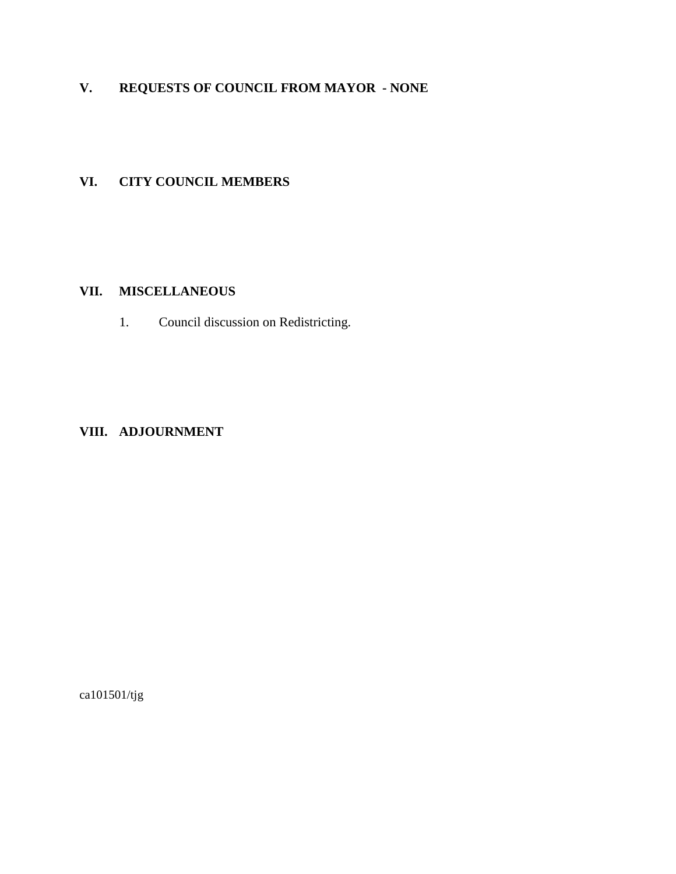# **V. REQUESTS OF COUNCIL FROM MAYOR - NONE**

### **VI. CITY COUNCIL MEMBERS**

#### **VII. MISCELLANEOUS**

1. Council discussion on Redistricting.

#### **VIII. ADJOURNMENT**

ca101501/tjg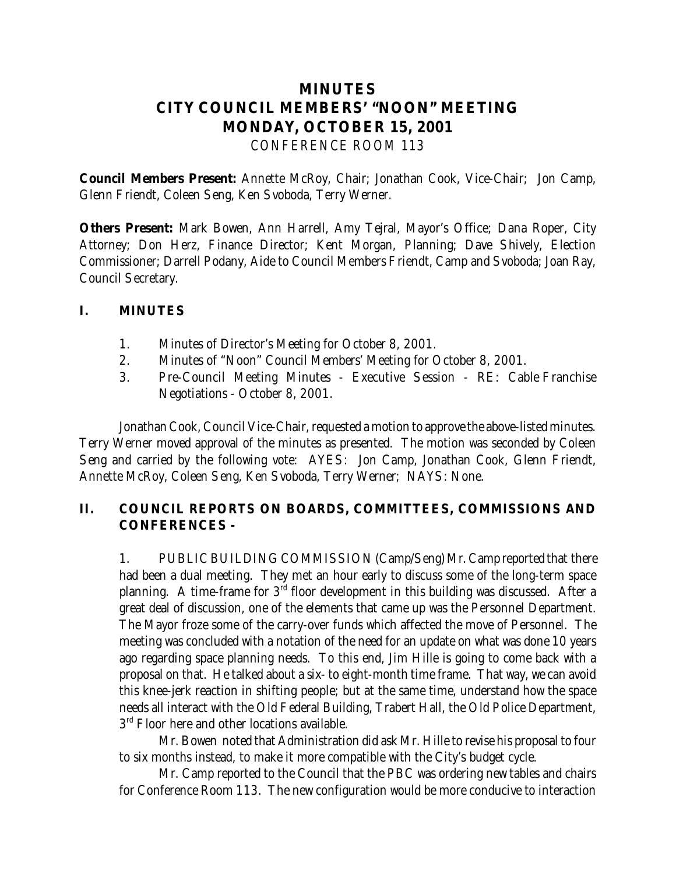## **MINUTES CITY COUNCIL MEMBERS' "NOON" MEETING MONDAY, OCTOBER 15, 2001** *CONFERENCE ROOM 113*

**Council Members Present:** Annette McRoy, Chair; Jonathan Cook, Vice-Chair; Jon Camp, Glenn Friendt, Coleen Seng, Ken Svoboda, Terry Werner.

**Others Present:** Mark Bowen, Ann Harrell, Amy Tejral, Mayor's Office; Dana Roper, City Attorney; Don Herz, Finance Director; Kent Morgan, Planning; Dave Shively, Election Commissioner; Darrell Podany, Aide to Council Members Friendt, Camp and Svoboda; Joan Ray, Council Secretary.

#### **I. MINUTES**

- 1. Minutes of Director's Meeting for October 8, 2001.
- 2. Minutes of "Noon" Council Members' Meeting for October 8, 2001.
- 3. Pre-Council Meeting Minutes Executive Session RE: Cable Franchise Negotiations - October 8, 2001.

Jonathan Cook, Council Vice-Chair, requested a motion to approve the above-listed minutes. Terry Werner moved approval of the minutes as presented. The motion was seconded by Coleen Seng and carried by the following vote: AYES: Jon Camp, Jonathan Cook, Glenn Friendt, Annette McRoy, Coleen Seng, Ken Svoboda, Terry Werner; NAYS: None.

### **II. COUNCIL REPORTS ON BOARDS, COMMITTEES, COMMISSIONS AND CONFERENCES -**

1. PUBLIC BUILDING COMMISSION (Camp/Seng) Mr. Camp reported that there had been a dual meeting. They met an hour early to discuss some of the long-term space planning. A time-frame for  $3<sup>rd</sup>$  floor development in this building was discussed. After a great deal of discussion, one of the elements that came up was the Personnel Department. The Mayor froze some of the carry-over funds which affected the move of Personnel. The meeting was concluded with a notation of the need for an update on what was done 10 years ago regarding space planning needs. To this end, Jim Hille is going to come back with a proposal on that. He talked about a six- to eight-month time frame. That way, we can avoid this knee-jerk reaction in shifting people; but at the same time, understand how the space needs all interact with the Old Federal Building, Trabert Hall, the Old Police Department,  $3<sup>rd</sup>$  Floor here and other locations available.

Mr. Bowen noted that Administration did ask Mr. Hille to revise his proposal to four to six months instead, to make it more compatible with the City's budget cycle.

Mr. Camp reported to the Council that the PBC was ordering new tables and chairs for Conference Room 113. The new configuration would be more conducive to interaction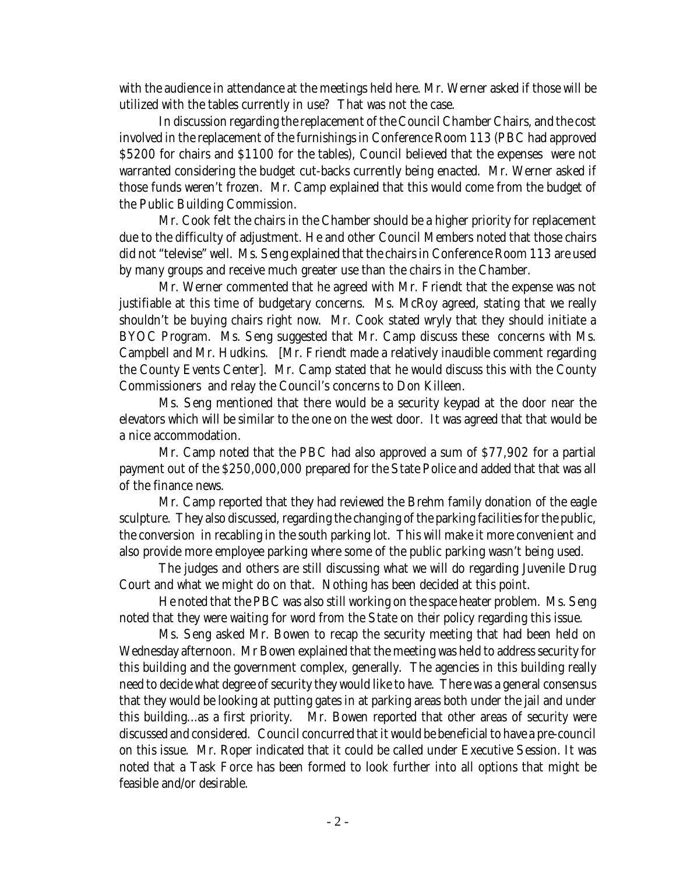with the audience in attendance at the meetings held here. Mr. Werner asked if those will be utilized with the tables currently in use? That was not the case.

In discussion regarding the replacement of the Council Chamber Chairs, and the cost involved in the replacement of the furnishings in Conference Room 113 (PBC had approved \$5200 for chairs and \$1100 for the tables), Council believed that the expenses were not warranted considering the budget cut-backs currently being enacted. Mr. Werner asked if those funds weren't frozen. Mr. Camp explained that this would come from the budget of the Public Building Commission.

Mr. Cook felt the chairs in the Chamber should be a higher priority for replacement due to the difficulty of adjustment. He and other Council Members noted that those chairs did not "televise" well. Ms. Seng explained that the chairs in Conference Room 113 are used by many groups and receive much greater use than the chairs in the Chamber.

Mr. Werner commented that he agreed with Mr. Friendt that the expense was not justifiable at this time of budgetary concerns. Ms. McRoy agreed, stating that we really shouldn't be buying chairs right now. Mr. Cook stated wryly that they should initiate a BYOC Program. Ms. Seng suggested that Mr. Camp discuss these concerns with Ms. Campbell and Mr. Hudkins. [Mr. Friendt made a relatively inaudible comment regarding the County Events Center]. Mr. Camp stated that he would discuss this with the County Commissioners and relay the Council's concerns to Don Killeen.

Ms. Seng mentioned that there would be a security keypad at the door near the elevators which will be similar to the one on the west door. It was agreed that that would be a nice accommodation.

Mr. Camp noted that the PBC had also approved a sum of \$77,902 for a partial payment out of the \$250,000,000 prepared for the State Police and added that that was all of the finance news.

Mr. Camp reported that they had reviewed the Brehm family donation of the eagle sculpture. They also discussed, regarding the changing of the parking facilities for the public, the conversion in recabling in the south parking lot. This will make it more convenient and also provide more employee parking where some of the public parking wasn't being used.

The judges and others are still discussing what we will do regarding Juvenile Drug Court and what we might do on that. Nothing has been decided at this point.

He noted that the PBC was also still working on the space heater problem. Ms. Seng noted that they were waiting for word from the State on *their* policy regarding this issue.

Ms. Seng asked Mr. Bowen to recap the security meeting that had been held on Wednesday afternoon. Mr Bowen explained that the meeting was held to address security for this building and the government complex, generally. The agencies in this building really need to decide what degree of security they would like to have. There was a general consensus that they would be looking at putting gates in at parking areas both under the jail and under this building...as a first priority. Mr. Bowen reported that other areas of security were discussed and considered. Council concurred that it would be beneficial to have a pre-council on this issue. Mr. Roper indicated that it could be called under Executive Session. It was noted that a Task Force has been formed to look further into all options that might be feasible and/or desirable.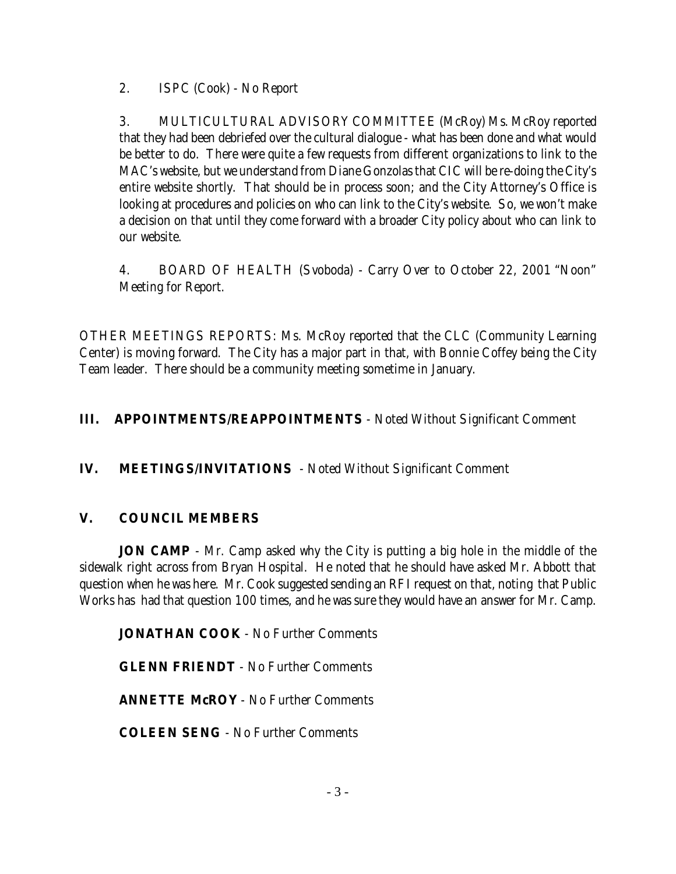2. ISPC (Cook) - No Report

3. MULTICULTURAL ADVISORY COMMITTEE (McRoy) Ms. McRoy reported that they had been debriefed over the cultural dialogue - what has been done and what would be better to do. There were quite a few requests from different organizations to link to the MAC's website, but we understand from Diane Gonzolas that CIC will be re-doing the City's entire website shortly. That should be in process soon; and the City Attorney's Office is looking at procedures and policies on who can link to the City's website. So, we won't make a decision on that until they come forward with a broader City policy about who can link to our website.

4. BOARD OF HEALTH (Svoboda) - Carry Over to October 22, 2001 "Noon" Meeting for Report.

OTHER MEETINGS REPORTS: Ms. McRoy reported that the CLC (Community Learning Center) is moving forward. The City has a major part in that, with Bonnie Coffey being the City Team leader. There should be a community meeting sometime in January.

### **III. APPOINTMENTS/REAPPOINTMENTS** - Noted Without Significant Comment

### **IV. MEETINGS/INVITATIONS** - Noted Without Significant Comment

### **V. COUNCIL MEMBERS**

**JON CAMP** - Mr. Camp asked why the City is putting a big hole in the middle of the sidewalk right across from Bryan Hospital. He noted that he should have asked Mr. Abbott that question when he was here. Mr. Cook suggested sending an RFI request on that, noting that Public Works has had that question 100 times, and he was sure they would have an answer for Mr. Camp.

**JONATHAN COOK** - No Further Comments

**GLENN FRIENDT** - No Further Comments

**ANNETTE McROY** - No Further Comments

**COLEEN SENG** - No Further Comments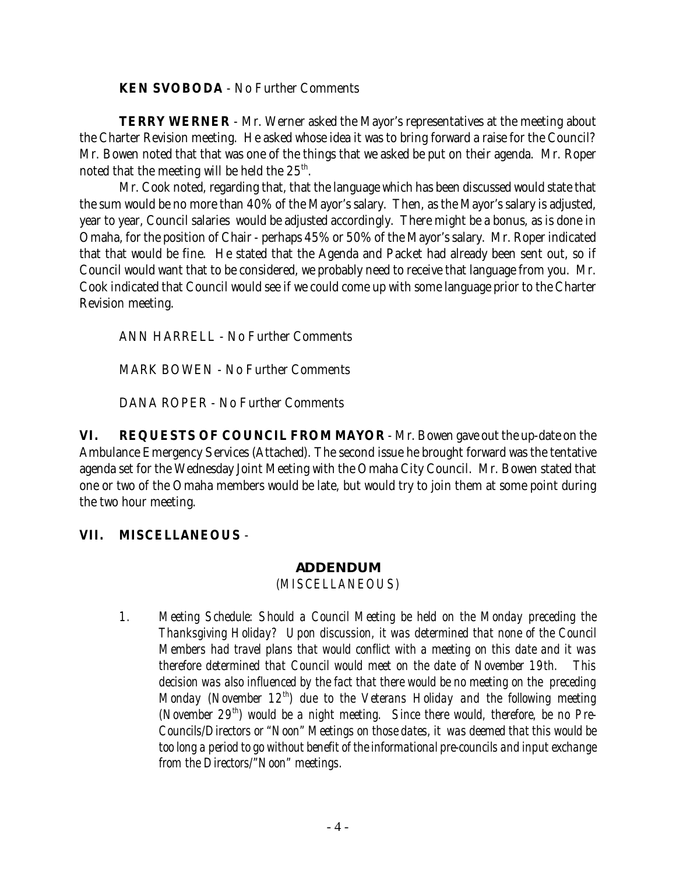**KEN SVOBODA** - No Further Comments

**TERRY WERNER** - Mr. Werner asked the Mayor's representatives at the meeting about the Charter Revision meeting. He asked whose idea it was to bring forward a raise for the Council? Mr. Bowen noted that that was one of the things that we asked be put on their agenda. Mr. Roper noted that the meeting will be held the  $25<sup>th</sup>$ .

Mr. Cook noted, regarding that, that the language which has been discussed would state that the sum would be no more than 40% of the Mayor's salary. Then, as the Mayor's salary is adjusted, year to year, Council salaries would be adjusted accordingly. There might be a bonus, as is done in Omaha, for the position of Chair - perhaps 45% or 50% of the Mayor's salary. Mr. Roper indicated that that would be fine. He stated that the Agenda and Packet had already been sent out, so if Council would want that to be considered, we probably need to receive that language from you. Mr. Cook indicated that Council would see if we could come up with some language prior to the Charter Revision meeting.

ANN HARRELL - No Further Comments

MARK BOWEN - No Further Comments

DANA ROPER - No Further Comments

**VI. REQUESTS OF COUNCIL FROM MAYOR** - Mr. Bowen gave out the up-date on the Ambulance Emergency Services (Attached). The second issue he brought forward was the tentative agenda set for the Wednesday Joint Meeting with the Omaha City Council. Mr. Bowen stated that one or two of the Omaha members would be late, but would try to join them at some point during the two hour meeting.

### **VII. MISCELLANEOUS** -

#### *ADDENDUM (MISCELLANEOUS)*

*1. Meeting Schedule: Should a Council Meeting be held on the Monday preceding the Thanksgiving Holiday? Upon discussion, it was determined that none of the Council Members had travel plans that would conflict with a meeting on this date and it was therefore determined that Council would meet on the date of November 19th. This decision was also influenced by the fact that there would be no meeting on the preceding Monday (November 12<sup>th</sup>) due to the Veterans Holiday and the following meeting (November 29th) would be a night meeting. Since there would, therefore, be no Pre-Councils/Directors or "Noon" Meetings on those dates, it was deemed that this would be too long a period to go without benefit of the informational pre-councils and input exchange from the Directors/"Noon" meetings.*